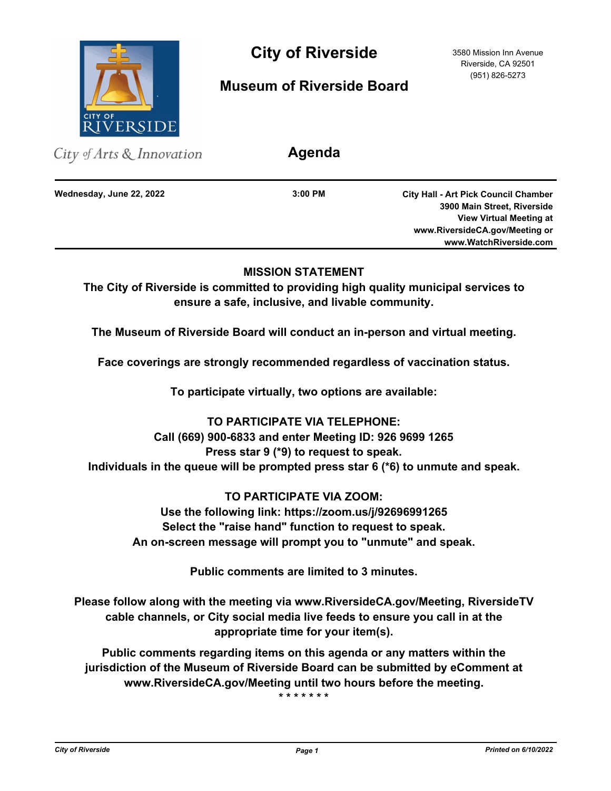

City of Riverside 3580 Mission Inn Avenue

# **Museum of Riverside Board**

Riverside, CA 92501 (951) 826-5273

| City of Arts $\&$ Innovation | Agenda    |                                                                                                                                                |
|------------------------------|-----------|------------------------------------------------------------------------------------------------------------------------------------------------|
| Wednesday, June 22, 2022     | $3:00$ PM | <b>City Hall - Art Pick Council Chamber</b><br>3900 Main Street, Riverside<br><b>View Virtual Meeting at</b><br>www.RiversideCA.gov/Meeting or |
|                              |           | www.WatchRiverside.com                                                                                                                         |

## **MISSION STATEMENT**

**The City of Riverside is committed to providing high quality municipal services to ensure a safe, inclusive, and livable community.**

**The Museum of Riverside Board will conduct an in-person and virtual meeting.** 

**Face coverings are strongly recommended regardless of vaccination status.**

**To participate virtually, two options are available:** 

# **TO PARTICIPATE VIA TELEPHONE: Call (669) 900-6833 and enter Meeting ID: 926 9699 1265 Press star 9 (\*9) to request to speak. Individuals in the queue will be prompted press star 6 (\*6) to unmute and speak.**

**TO PARTICIPATE VIA ZOOM: Use the following link: https://zoom.us/j/92696991265 Select the "raise hand" function to request to speak. An on-screen message will prompt you to "unmute" and speak.**

**Public comments are limited to 3 minutes.**

**Please follow along with the meeting via www.RiversideCA.gov/Meeting, RiversideTV cable channels, or City social media live feeds to ensure you call in at the appropriate time for your item(s).**

**Public comments regarding items on this agenda or any matters within the jurisdiction of the Museum of Riverside Board can be submitted by eComment at www.RiversideCA.gov/Meeting until two hours before the meeting.** 

**\* \* \* \* \* \* \***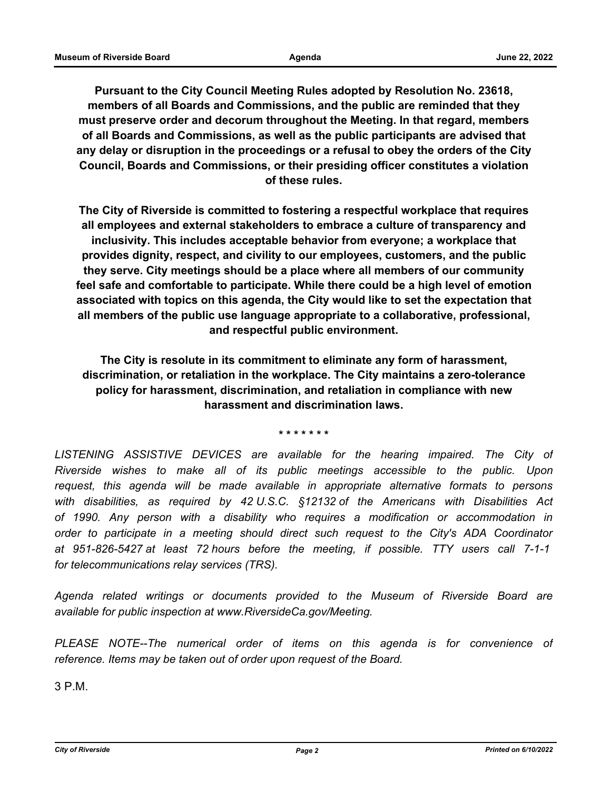**Pursuant to the City Council Meeting Rules adopted by Resolution No. 23618, members of all Boards and Commissions, and the public are reminded that they must preserve order and decorum throughout the Meeting. In that regard, members of all Boards and Commissions, as well as the public participants are advised that any delay or disruption in the proceedings or a refusal to obey the orders of the City Council, Boards and Commissions, or their presiding officer constitutes a violation of these rules.**

**The City of Riverside is committed to fostering a respectful workplace that requires all employees and external stakeholders to embrace a culture of transparency and inclusivity. This includes acceptable behavior from everyone; a workplace that provides dignity, respect, and civility to our employees, customers, and the public they serve. City meetings should be a place where all members of our community feel safe and comfortable to participate. While there could be a high level of emotion associated with topics on this agenda, the City would like to set the expectation that all members of the public use language appropriate to a collaborative, professional, and respectful public environment.**

**The City is resolute in its commitment to eliminate any form of harassment, discrimination, or retaliation in the workplace. The City maintains a zero-tolerance policy for harassment, discrimination, and retaliation in compliance with new harassment and discrimination laws.**

**\* \* \* \* \* \* \***

LISTENING ASSISTIVE DEVICES are available for the hearing impaired. The City of *Riverside wishes to make all of its public meetings accessible to the public. Upon request, this agenda will be made available in appropriate alternative formats to persons with disabilities, as required by 42 U.S.C. §12132 of the Americans with Disabilities Act of 1990. Any person with a disability who requires a modification or accommodation in order to participate in a meeting should direct such request to the City's ADA Coordinator at 951-826-5427 at least 72 hours before the meeting, if possible. TTY users call 7-1-1 for telecommunications relay services (TRS).*

*Agenda related writings or documents provided to the Museum of Riverside Board are available for public inspection at www.RiversideCa.gov/Meeting.* 

*PLEASE NOTE--The numerical order of items on this agenda is for convenience of reference. Items may be taken out of order upon request of the Board.* 

3 P.M.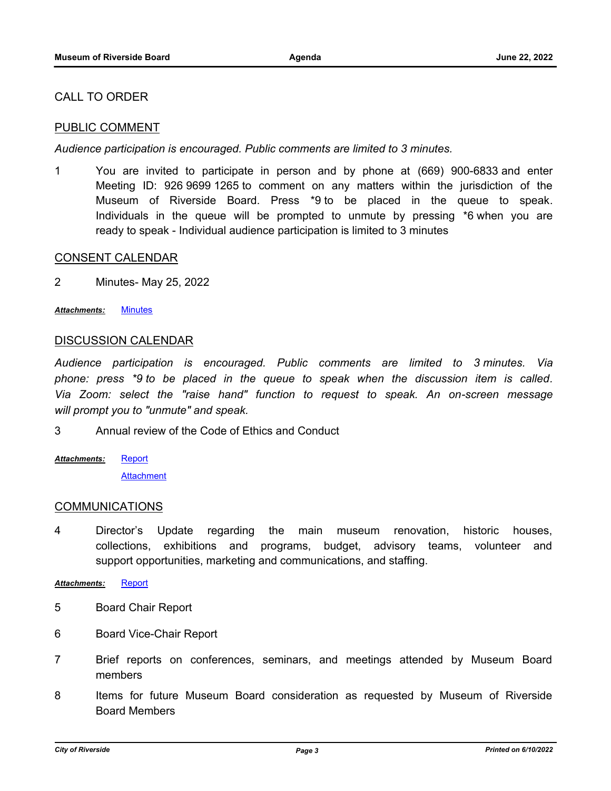## CALL TO ORDER

## PUBLIC COMMENT

*Audience participation is encouraged. Public comments are limited to 3 minutes.*

1 You are invited to participate in person and by phone at (669) 900-6833 and enter Meeting ID: 926 9699 1265 to comment on any matters within the jurisdiction of the Museum of Riverside Board. Press \*9 to be placed in the queue to speak. Individuals in the queue will be prompted to unmute by pressing \*6 when you are ready to speak - Individual audience participation is limited to 3 minutes

### CONSENT CALENDAR

2 Minutes- May 25, 2022

*Attachments:* [Minutes](http://riversideca.legistar.com/gateway.aspx?M=F&ID=63c6015c-e0dd-4e35-aacb-04f4e07cfe62.doc)

#### DISCUSSION CALENDAR

*Audience participation is encouraged. Public comments are limited to 3 minutes. Via phone: press \*9 to be placed in the queue to speak when the discussion item is called. Via Zoom: select the "raise hand" function to request to speak. An on-screen message will prompt you to "unmute" and speak.*

3 Annual review of the Code of Ethics and Conduct

**[Report](http://riversideca.legistar.com/gateway.aspx?M=F&ID=6e0d245e-c13d-4c32-9a38-8fe77cbaea27.docx) [Attachment](http://riversideca.legistar.com/gateway.aspx?M=F&ID=276027a8-1082-467b-9cd8-c035b16e7c49.pdf)** *Attachments:*

#### COMMUNICATIONS

4 Director's Update regarding the main museum renovation, historic houses, collections, exhibitions and programs, budget, advisory teams, volunteer and support opportunities, marketing and communications, and staffing.

*Attachments:* [Report](http://riversideca.legistar.com/gateway.aspx?M=F&ID=dca7933e-c71c-47d8-b80a-ffaee222c015.docx)

- 5 Board Chair Report
- 6 Board Vice-Chair Report
- 7 Brief reports on conferences, seminars, and meetings attended by Museum Board members
- 8 Items for future Museum Board consideration as requested by Museum of Riverside Board Members